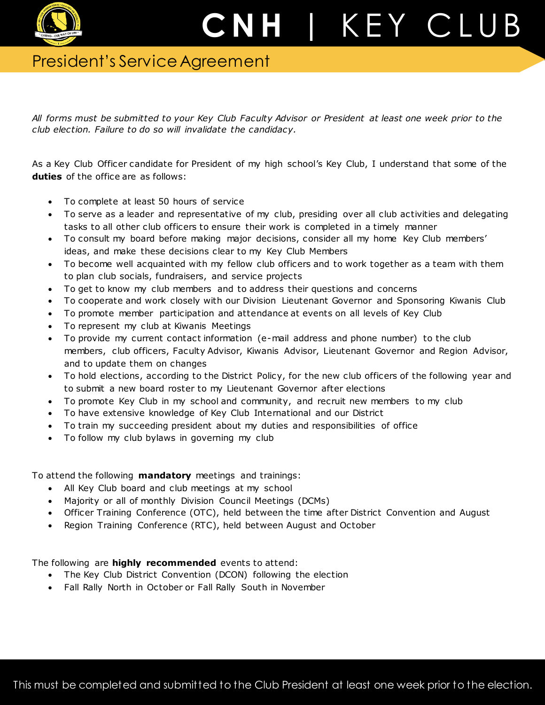

## President's Service Agreement

*All forms must be submitted to your Key Club Faculty Advisor or President at least one week prior to the club election. Failure to do so will invalidate the candidacy.*

As a Key Club Officer candidate for President of my high school's Key Club, I understand that some of the **duties** of the office are as follows:

- To complete at least 50 hours of service
- To serve as a leader and representative of my club, presiding over all club activities and delegating tasks to all other club officers to ensure their work is completed in a timely manner
- To consult my board before making major decisions, consider all my home Key Club members' ideas, and make these decisions clear to my Key Club Members
- To become well acquainted with my fellow club officers and to work together as a team with them to plan club socials, fundraisers, and service projects
- To get to know my club members and to address their questions and concerns
- To cooperate and work closely with our Division Lieutenant Governor and Sponsoring Kiwanis Club
- To promote member participation and attendance at events on all levels of Key Club
- To represent my club at Kiwanis Meetings
- To provide my current contact information (e-mail address and phone number) to the club members, club officers, Faculty Advisor, Kiwanis Advisor, Lieutenant Governor and Region Advisor, and to update them on changes
- To hold elections, according to the District Policy, for the new club officers of the following year and to submit a new board roster to my Lieutenant Governor after elections
- To promote Key Club in my school and community, and recruit new members to my club
- To have extensive knowledge of Key Club International and our District
- To train my succeeding president about my duties and responsibilities of office
- To follow my club bylaws in governing my club

To attend the following **mandatory** meetings and trainings:

- All Key Club board and club meetings at my school
- Majority or all of monthly Division Council Meetings (DCMs)
- Officer Training Conference (OTC), held between the time after District Convention and August
- Region Training Conference (RTC), held between August and October

The following are **highly recommended** events to attend:

- The Key Club District Convention (DCON) following the election
- Fall Rally North in October or Fall Rally South in November